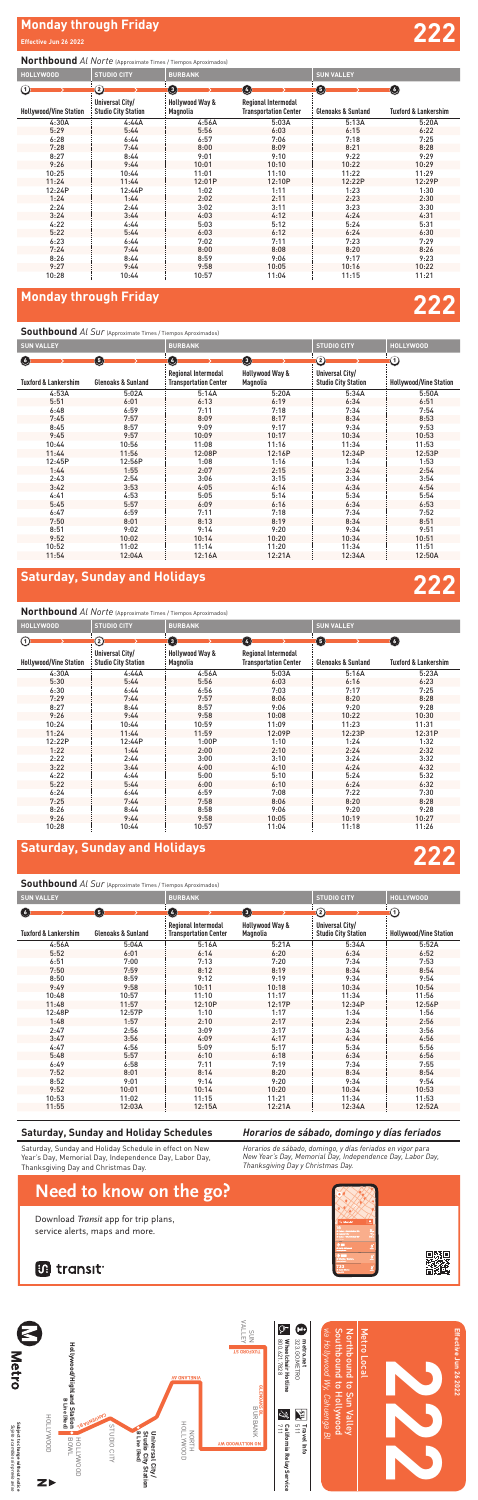## **Monday through Friday 222**

## **Monday through Friday**

### **Effective Jun 26 2022**

# **222**

## $D_{\rm eff}$  and  $D_{\rm eff}$  for trip plans, the trip plane  $\sigma$ **Southbound** *Al Sur* (Approximate Times / Tiempos Aproximados)



## **Saturday, Sunday and Holidays**

### **Saturday, Sunday and Holiday Schedules**

Saturday, Sunday and Holiday Schedule in effect on New Year's Day, Memorial Day, Independence Day, Labor Day, Thanksgiving Day and Christmas Day.

*Horarios de sábado, domingo, y días feriados en vigor para New Year's Day, Memorial Day, Independence Day, Labor Day, Thanksgiving Day y Christmas Day.*

### *Horarios de sábado, domingo y días feriados* Spring / 6th **733 <sup>2</sup>**

Where the control of



## **Need to know on the go?**

Download Transit app for trip plans, service alerts, maps and more.

## **in** transit

## **Northbound** *Al Norte* (Approximate Times / Tiempos Aproximados)

## **Southbound** *Al Sur* (Approximate Times / Tiempos Aproximados)

| <b>SUN VALLEY</b>               |                               | <b>BURBANK</b>                                      |                             | <b>STUDIO CITY</b>                            | <b>HOLLYWOOD</b>              |
|---------------------------------|-------------------------------|-----------------------------------------------------|-----------------------------|-----------------------------------------------|-------------------------------|
| Ø                               | 0                             | $\bullet$                                           | 0                           | $\circled{2}$                                 | ൹                             |
| <b>Tuxford &amp; Lankershim</b> | <b>Glenoaks &amp; Sunland</b> | Regional Intermodal<br><b>Transportation Center</b> | Hollywood Way &<br>Magnolia | Universal City/<br><b>Studio City Station</b> | <b>Hollywood/Vine Station</b> |
| 4:56A                           | 5:04A                         | 5:16A                                               | 5:21A                       | 5:34A                                         | 5:52A                         |
| 5:52                            | 6:01                          | 6:14                                                | 6:20                        | 6:34                                          | 6:52                          |
| 6:51                            | 7:00                          | 7:13                                                | 7:20                        | 7:34                                          | 7:53                          |
| 7:50                            | 7:59                          | 8:12                                                | 8:19                        | 8:34                                          | 8:54                          |
| 8:50                            | 8:59                          | 9:12                                                | 9:19                        | 9:34                                          | 9:54                          |
| 9:49                            | 9:58                          | 10:11                                               | 10:18                       | 10:34                                         | 10:54                         |
| 10:48                           | 10:57                         | 11:10                                               | 11:17                       | 11:34                                         | 11:56                         |
| 11:48                           | 11:57                         | 12:10P                                              | 12:17P                      | 12:34P                                        | 12:56P                        |
| 12:48P                          | 12:57P                        | 1:10                                                | 1:17                        | 1:34                                          | 1:56                          |
| 1:48                            | 1:57                          | 2:10                                                | 2:17                        | 2:34                                          | 2:56                          |
| 2:47                            | 2:56                          | 3:09                                                | 3:17                        | 3:34                                          | 3:56                          |
| 3:47                            | 3:56                          | 4:09                                                | 4:17                        | 4:34                                          | 4:56                          |
| 4:47                            | 4:56                          | 5:09                                                | 5:17                        | 5:34                                          | 5:56                          |
| 5:48                            | 5:57                          | 6:10                                                | 6:18                        | 6:34                                          | 6:56                          |
| 6:49                            | 6:58                          | 7:11                                                | 7:19                        | 7:34                                          | 7:55                          |
| 7:52                            | 8:01                          | 8:14                                                | 8:20                        | 8:34                                          | 8:54                          |
| 8:52                            | 9:01                          | 9:14                                                | 9:20                        | 9:34                                          | 9:54                          |
| 9:52                            | 10:01                         | 10:14                                               | 10:20                       | 10:34                                         | 10:53                         |
| 10:53                           | 11:02                         | 11:15                                               | 11:21                       | 11:34                                         | 11:53                         |
| 11:55                           | 12:03A                        | 12:15A                                              | 12:21A                      | 12:34A                                        | 12:52A                        |

| <b>HOLLYWOOD</b>              | <b>STUDIO CITY</b>                            | <b>BURBANK</b>              |                                                     | <b>SUN VALLEY</b>             |                                 |
|-------------------------------|-----------------------------------------------|-----------------------------|-----------------------------------------------------|-------------------------------|---------------------------------|
| $\Omega$                      | 2                                             | ➊                           | $\overline{a}$                                      | 6                             | O                               |
| <b>Hollywood/Vine Station</b> | Universal City/<br><b>Studio City Station</b> | Hollywood Way &<br>Magnolia | Regional Intermodal<br><b>Transportation Center</b> | <b>Glenoaks &amp; Sunland</b> | <b>Tuxford &amp; Lankershim</b> |
| 4:30A                         | 4:44A                                         | 4:56A                       | 5:03A                                               | 5:16A                         | 5:23A                           |
| 5:30                          | 5:44                                          | 5:56                        | 6:03                                                | 6:16                          | 6:23                            |
| 6:30                          | 6:44                                          | 6:56                        | 7:03                                                | 7:17                          | 7:25                            |
| 7:29                          | 7:44                                          | 7:57                        | 8:06                                                | 8:20                          | 8:28                            |
| 8:27                          | 8:44                                          | 8:57                        | 9:06                                                | 9:20                          | 9:28                            |
| 9:26                          | 9:44                                          | 9:58                        | 10:08                                               | 10:22                         | 10:30                           |
| 10:24                         | 10:44                                         | 10:59                       | 11:09                                               | 11:23                         | 11:31                           |
| 11:24                         | 11:44                                         | 11:59                       | 12:09P                                              | 12:23P                        | 12:31P                          |
| 12:22P                        | 12:44P                                        | 1:00P                       | 1:10                                                | 1:24                          | 1:32                            |
| 1:22                          | 1:44                                          | 2:00                        | 2:10                                                | 2:24                          | 2:32                            |
| 2:22                          | 2:44                                          | 3:00                        | 3:10                                                | 3:24                          | 3:32                            |
| 3:22                          | 3:44                                          | 4:00                        | 4:10                                                | 4:24                          | 4:32                            |
| 4:22                          | 4:44                                          | 5:00                        | 5:10                                                | 5:24                          | 5:32                            |
| 5:22                          | 5:44                                          | 6:00                        | 6:10                                                | 6:24                          | 6:32                            |
| 6:24                          | 6:44                                          | 6:59                        | 7:08                                                | 7:22                          | 7:30                            |
| 7:25                          | 7:44                                          | 7:58                        | 8:06                                                | 8:20                          | 8:28                            |
| 8:26                          | 8:44                                          | 8:58                        | 9:06                                                | 9:20                          | 9:28                            |
| 9:26                          | 9:44                                          | 9:58                        | 10:05                                               | 10:19                         | 10:27                           |
| 10:28                         | 10:44                                         | 10:57                       | 11:04                                               | 11:18                         | 11:26                           |

## **Northbound** *Al Norte* (Approximate Times / Tiempos Aproximados)



| <b>HOLLYWOOD</b>              | <b>STUDIO CITY</b>                            | <b>BURBANK</b>              |                                                     | <b>SUN VALLEY</b>             |                                 |
|-------------------------------|-----------------------------------------------|-----------------------------|-----------------------------------------------------|-------------------------------|---------------------------------|
| $\rm \odot$                   | ②                                             | $\mathbf{G}$                | $\overline{A}$                                      | 6                             | $\bullet$                       |
| <b>Hollywood/Vine Station</b> | Universal City/<br><b>Studio City Station</b> | Hollywood Way &<br>Magnolia | Regional Intermodal<br><b>Transportation Center</b> | <b>Glenoaks &amp; Sunland</b> | <b>Tuxford &amp; Lankershim</b> |
| 4:30A                         | 4:44A                                         | 4:56A                       | 5:03A                                               | 5:13A                         | 5:20A                           |
| 5:29                          | 5:44                                          | 5:56                        | 6:03                                                | 6:15                          | 6:22                            |
| 6:28                          | 6:44                                          | 6:57                        | 7:06                                                | 7:18                          | 7:25                            |
| 7:28                          | 7:44                                          | 8:00                        | 8:09                                                | 8:21                          | 8:28                            |
| 8:27                          | 8:44                                          | 9:01                        | 9:10                                                | 9:22                          | 9:29                            |
| 9:26                          | 9:44                                          | 10:01                       | 10:10                                               | 10:22                         | 10:29                           |
| 10:25                         | 10:44                                         | 11:01                       | 11:10                                               | 11:22                         | 11:29                           |
| 11:24                         | 11:44                                         | 12:01P                      | 12:10P                                              | 12:22P                        | 12:29P                          |
| 12:24P                        | 12:44P                                        | 1:02                        | 1:11                                                | 1:23                          | 1:30                            |
| 1:24                          | 1:44                                          | 2:02                        | 2:11                                                | 2:23                          | 2:30                            |
| 2:24                          | 2:44                                          | 3:02                        | 3:11                                                | 3:23                          | 3:30                            |
| 3:24                          | 3:44                                          | 4:03                        | 4:12                                                | 4:24                          | 4:31                            |
| 4:22                          | 4:44                                          | 5:03                        | 5:12                                                | 5:24                          | 5:31                            |
| 5:22                          | 5:44                                          | 6:03                        | 6:12                                                | 6:24                          | 6:30                            |
| 6:23                          | 6:44                                          | 7:02                        | 7:11                                                | 7:23                          | 7:29                            |
| 7:24                          | 7:44                                          | 8:00                        | 8:08                                                | 8:20                          | 8:26                            |
| 8:26                          | 8:44                                          | 8:59                        | 9:06                                                | 9:17                          | 9:23                            |
| 9:27                          | 9:44                                          | 9:58                        | 10:05                                               | 10:16                         | 10:22                           |
| 10:28                         | 10:44                                         | 10:57                       | 11:04                                               | 11:15                         | 11:21                           |

| <b>SUN VALLEY</b>               |                               | <b>BURBANK</b>                                      |                             | <b>STUDIO CITY</b>                            | <b>HOLLYWOOD</b>              |
|---------------------------------|-------------------------------|-----------------------------------------------------|-----------------------------|-----------------------------------------------|-------------------------------|
| Ø                               | 6                             | Ø                                                   | $\bullet$                   | Ω                                             | の                             |
| <b>Tuxford &amp; Lankershim</b> | <b>Glenoaks &amp; Sunland</b> | Regional Intermodal<br><b>Transportation Center</b> | Hollywood Way &<br>Magnolia | Universal City/<br><b>Studio City Station</b> | <b>Hollywood/Vine Station</b> |
| 4:53A                           | 5:02A                         | 5:14A                                               | 5:20A                       | 5:34A                                         | 5:50A                         |
| 5:51                            | 6:01                          | 6:13                                                | 6:19                        | 6:34                                          | 6:51                          |
| 6:48                            | 6:59                          | 7:11                                                | 7:18                        | 7:34                                          | 7:54                          |
| 7:45                            | 7:57                          | 8:09                                                | 8:17                        | 8:34                                          | 8:53                          |
| 8:45                            | 8:57                          | 9:09                                                | 9:17                        | 9:34                                          | 9:53                          |
| 9:45                            | 9:57                          | 10:09                                               | 10:17                       | 10:34                                         | 10:53                         |
| 10:44                           | 10:56                         | 11:08                                               | 11:16                       | 11:34                                         | 11:53                         |
| 11:44                           | 11:56                         | 12:08P                                              | 12:16P                      | 12:34P                                        | 12:53P                        |
| 12:45P                          | 12:56P                        | 1:08                                                | 1:16                        | 1:34                                          | 1:53                          |
| 1:44                            | 1:55                          | 2:07                                                | 2:15                        | 2:34                                          | 2:54                          |
| 2:43                            | 2:54                          | 3:06                                                | 3:15                        | 3:34                                          | 3:54                          |
| 3:42                            | 3:53                          | 4:05                                                | 4:14                        | 4:34                                          | 4:54                          |
| 4:41                            | 4:53                          | 5:05                                                | 5:14                        | 5:34                                          | 5:54                          |
| 5:45                            | 5:57                          | 6:09                                                | 6:16                        | 6:34                                          | 6:53                          |
| 6:47                            | 6:59                          | 7:11                                                | 7:18                        | 7:34                                          | 7:52                          |
| 7:50                            | 8:01                          | 8:13                                                | 8:19                        | 8:34                                          | 8:51                          |
| 8:51                            | 9:02                          | 9:14                                                | 9:20                        | 9:34                                          | 9:51                          |
| 9:52                            | 10:02                         | 10:14                                               | 10:20                       | 10:34                                         | 10:51                         |
| 10:52                           | 11:02                         | 11:14                                               | 11:20                       | 11:34                                         | 11:51                         |
| 11:54                           | 12:04A                        | 12:16A                                              | 12:21A                      | 12:34A                                        | 12:50A                        |